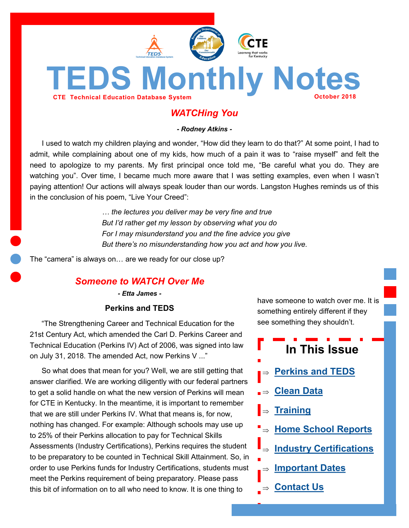<span id="page-0-0"></span>

# *WATCHing You*

*- Rodney Atkins -*

I used to watch my children playing and wonder, "How did they learn to do that?" At some point, I had to admit, while complaining about one of my kids, how much of a pain it was to "raise myself" and felt the need to apologize to my parents. My first principal once told me, "Be careful what you do. They are watching you". Over time, I became much more aware that I was setting examples, even when I wasn't paying attention! Our actions will always speak louder than our words. Langston Hughes reminds us of this in the conclusion of his poem, "Live Your Creed":

> *… the lectures you deliver may be very fine and true But I'd rather get my lesson by observing what you do For I may misunderstand you and the fine advice you give But there's no misunderstanding how you act and how you live.*

The "camera" is always on… are we ready for our close up?

# *Someone to WATCH Over Me*

*- Etta James -*

#### **Perkins and TEDS**

"The Strengthening Career and Technical Education for the 21st Century Act, which amended the Carl D. Perkins Career and Technical Education (Perkins IV) Act of 2006, was signed into law on July 31, 2018. The amended Act, now Perkins V ..."

So what does that mean for you? Well, we are still getting that answer clarified. We are working diligently with our federal partners to get a solid handle on what the new version of Perkins will mean for CTE in Kentucky. In the meantime, it is important to remember that we are still under Perkins IV. What that means is, for now, nothing has changed. For example: Although schools may use up to 25% of their Perkins allocation to pay for Technical Skills Assessments (Industry Certifications), Perkins requires the student to be preparatory to be counted in Technical Skill Attainment. So, in order to use Perkins funds for Industry Certifications, students must meet the Perkins requirement of being preparatory. Please pass this bit of information on to all who need to know. It is one thing to

have someone to watch over me. It is something entirely different if they see something they shouldn't.

# **In This Issue**

- **[Perkins and TEDS](#page-0-0)**
- **[Clean Data](#page-1-0)**
- **[Training](#page-1-0)**
- **[Home School Reports](#page-2-0)**
	- **[Industry Certifications](#page-2-0)**
- **[Important Dates](#page-3-0)**
- **L**⇒ [Contact Us](#page-3-0)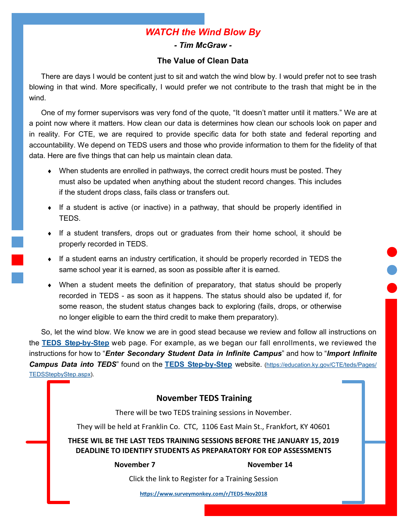# *WATCH the Wind Blow By*

*- Tim McGraw -*

#### **The Value of Clean Data**

<span id="page-1-0"></span>There are days I would be content just to sit and watch the wind blow by. I would prefer not to see trash blowing in that wind. More specifically, I would prefer we not contribute to the trash that might be in the wind.

One of my former supervisors was very fond of the quote, "It doesn't matter until it matters." We are at a point now where it matters. How clean our data is determines how clean our schools look on paper and in reality. For CTE, we are required to provide specific data for both state and federal reporting and accountability. We depend on TEDS users and those who provide information to them for the fidelity of that data. Here are five things that can help us maintain clean data.

- When students are enrolled in pathways, the correct credit hours must be posted. They must also be updated when anything about the student record changes. This includes if the student drops class, fails class or transfers out.
- If a student is active (or inactive) in a pathway, that should be properly identified in TEDS.
- If a student transfers, drops out or graduates from their home school, it should be properly recorded in TEDS.
- If a student earns an industry certification, it should be properly recorded in TEDS the same school year it is earned, as soon as possible after it is earned.
- When a student meets the definition of preparatory, that status should be properly recorded in TEDS - as soon as it happens. The status should also be updated if, for some reason, the student status changes back to exploring (fails, drops, or otherwise no longer eligible to earn the third credit to make them preparatory).

So, let the wind blow. We know we are in good stead because we review and follow all instructions on the **[TEDS Step](https://education.ky.gov/CTE/teds/Pages/TEDSStepbyStep.aspx)-by-Step** web page. For example, as we began our fall enrollments, we reviewed the instructions for how to "*Enter Secondary Student Data in Infinite Campus*" and how to "*Import Infinite Campus Data into TEDS*" found on the **[TEDS Step](https://education.ky.gov/CTE/teds/Pages/TEDSStepbyStep.aspx)-by-Step** website. [\(https://education.ky.gov/CTE/teds/Pages/](https://education.ky.gov/CTE/teds/Pages/TEDSStepbyStep.aspx) [TEDSStepbyStep.aspx\).](https://education.ky.gov/CTE/teds/Pages/TEDSStepbyStep.aspx)

#### **November TEDS Training**

There will be two TEDS training sessions in November.

They will be held at Franklin Co. CTC, 1106 East Main St., Frankfort, KY 40601

**THESE WIL BE THE LAST TEDS TRAINING SESSIONS BEFORE THE JANUARY 15, 2019 DEADLINE TO IDENTIFY STUDENTS AS PREPARATORY FOR EOP ASSESSMENTS**

**November 7 November 14** 

Click the link to Register for a Training Session

**[https://www.surveymonkey.com/r/TEDS](https://www.surveymonkey.com/r/TEDS-Nov2018)-Nov2018**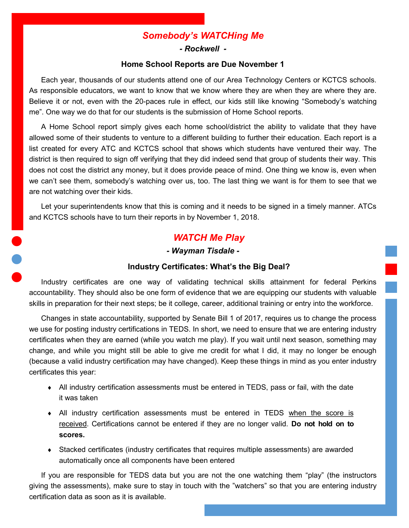# *Somebody's WATCHing Me*

#### *- Rockwell -*

#### **Home School Reports are Due November 1**

<span id="page-2-0"></span>Each year, thousands of our students attend one of our Area Technology Centers or KCTCS schools. As responsible educators, we want to know that we know where they are when they are where they are. Believe it or not, even with the 20-paces rule in effect, our kids still like knowing "Somebody's watching me". One way we do that for our students is the submission of Home School reports.

A Home School report simply gives each home school/district the ability to validate that they have allowed some of their students to venture to a different building to further their education. Each report is a list created for every ATC and KCTCS school that shows which students have ventured their way. The district is then required to sign off verifying that they did indeed send that group of students their way. This does not cost the district any money, but it does provide peace of mind. One thing we know is, even when we can't see them, somebody's watching over us, too. The last thing we want is for them to see that we are not watching over their kids.

Let your superintendents know that this is coming and it needs to be signed in a timely manner. ATCs and KCTCS schools have to turn their reports in by November 1, 2018.

# *WATCH Me Play*

#### *- Wayman Tisdale -*

#### **Industry Certificates: What's the Big Deal?**

Industry certificates are one way of validating technical skills attainment for federal Perkins accountability. They should also be one form of evidence that we are equipping our students with valuable skills in preparation for their next steps; be it college, career, additional training or entry into the workforce.

Changes in state accountability, supported by Senate Bill 1 of 2017, requires us to change the process we use for posting industry certifications in TEDS. In short, we need to ensure that we are entering industry certificates when they are earned (while you watch me play). If you wait until next season, something may change, and while you might still be able to give me credit for what I did, it may no longer be enough (because a valid industry certification may have changed). Keep these things in mind as you enter industry certificates this year:

- All industry certification assessments must be entered in TEDS, pass or fail, with the date it was taken
- All industry certification assessments must be entered in TEDS when the score is received. Certifications cannot be entered if they are no longer valid. **Do not hold on to scores.**
- Stacked certificates (industry certificates that requires multiple assessments) are awarded automatically once all components have been entered

If you are responsible for TEDS data but you are not the one watching them "play" (the instructors giving the assessments), make sure to stay in touch with the "watchers" so that you are entering industry certification data as soon as it is available.